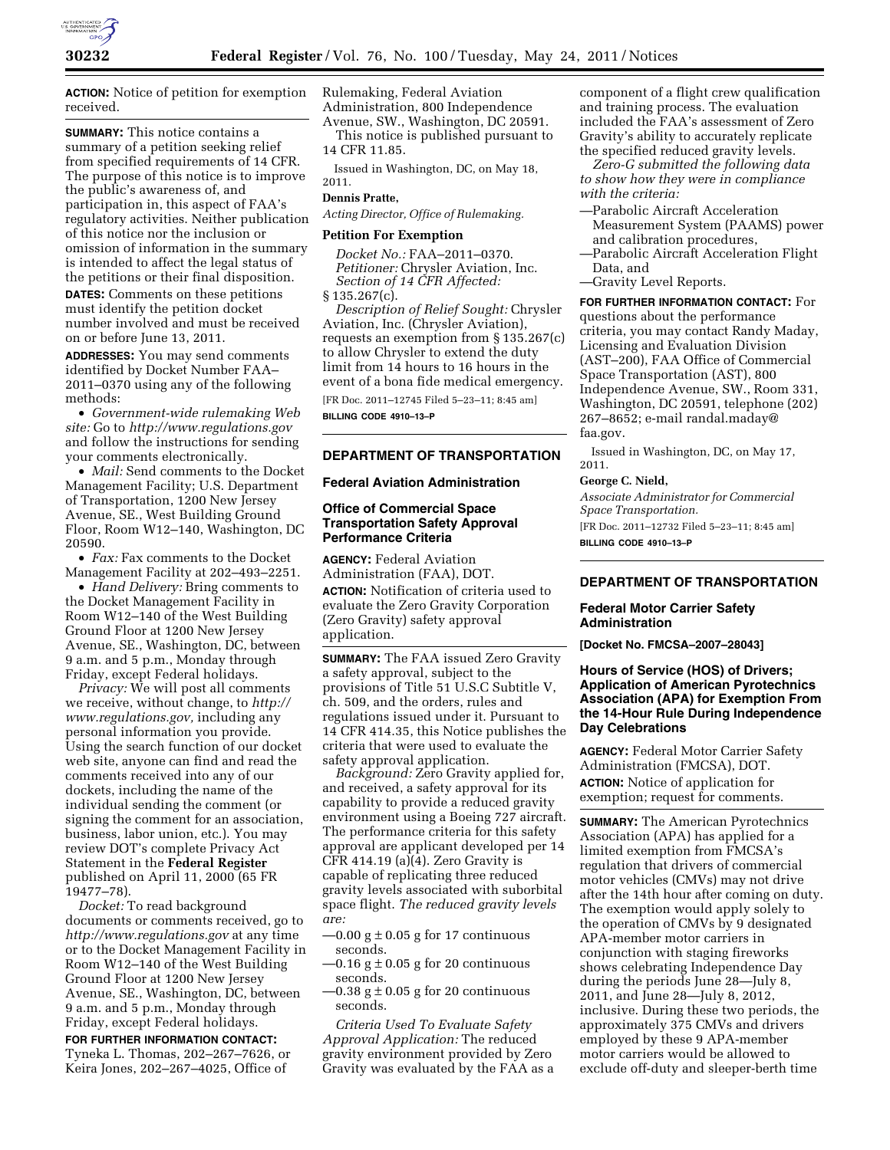

**ACTION:** Notice of petition for exemption received.

**SUMMARY:** This notice contains a summary of a petition seeking relief from specified requirements of 14 CFR. The purpose of this notice is to improve the public's awareness of, and participation in, this aspect of FAA's regulatory activities. Neither publication of this notice nor the inclusion or omission of information in the summary is intended to affect the legal status of the petitions or their final disposition.

**DATES:** Comments on these petitions must identify the petition docket number involved and must be received on or before June 13, 2011.

**ADDRESSES:** You may send comments identified by Docket Number FAA– 2011–0370 using any of the following methods:

• *Government-wide rulemaking Web site:* Go to *<http://www.regulations.gov>*  and follow the instructions for sending your comments electronically.

• *Mail:* Send comments to the Docket Management Facility; U.S. Department of Transportation, 1200 New Jersey Avenue, SE., West Building Ground Floor, Room W12–140, Washington, DC 20590.

• *Fax:* Fax comments to the Docket Management Facility at 202–493–2251.

• *Hand Delivery:* Bring comments to the Docket Management Facility in Room W12–140 of the West Building Ground Floor at 1200 New Jersey Avenue, SE., Washington, DC, between 9 a.m. and 5 p.m., Monday through Friday, except Federal holidays.

*Privacy:* We will post all comments we receive, without change, to *[http://](http://www.regulations.gov)  [www.regulations.gov,](http://www.regulations.gov)* including any personal information you provide. Using the search function of our docket web site, anyone can find and read the comments received into any of our dockets, including the name of the individual sending the comment (or signing the comment for an association, business, labor union, etc.). You may review DOT's complete Privacy Act Statement in the **Federal Register**  published on April 11, 2000 (65 FR 19477–78).

*Docket:* To read background documents or comments received, go to *<http://www.regulations.gov>* at any time or to the Docket Management Facility in Room W12–140 of the West Building Ground Floor at 1200 New Jersey Avenue, SE., Washington, DC, between 9 a.m. and 5 p.m., Monday through Friday, except Federal holidays.

**FOR FURTHER INFORMATION CONTACT:**  Tyneka L. Thomas, 202–267–7626, or Keira Jones, 202–267–4025, Office of

Rulemaking, Federal Aviation Administration, 800 Independence Avenue, SW., Washington, DC 20591.

This notice is published pursuant to 14 CFR 11.85.

Issued in Washington, DC, on May 18, 2011.

# **Dennis Pratte,**

*Acting Director, Office of Rulemaking.* 

#### **Petition For Exemption**

*Docket No.:* FAA–2011–0370. *Petitioner:* Chrysler Aviation, Inc. *Section of 14 CFR Affected:*   $§ 135.267(c).$ 

*Description of Relief Sought:* Chrysler Aviation, Inc. (Chrysler Aviation), requests an exemption from § 135.267(c) to allow Chrysler to extend the duty limit from 14 hours to 16 hours in the event of a bona fide medical emergency. [FR Doc. 2011–12745 Filed 5–23–11; 8:45 am]

**BILLING CODE 4910–13–P** 

# **DEPARTMENT OF TRANSPORTATION**

### **Federal Aviation Administration**

# **Office of Commercial Space Transportation Safety Approval Performance Criteria**

**AGENCY:** Federal Aviation Administration (FAA), DOT.

**ACTION:** Notification of criteria used to evaluate the Zero Gravity Corporation (Zero Gravity) safety approval application.

**SUMMARY:** The FAA issued Zero Gravity a safety approval, subject to the provisions of Title 51 U.S.C Subtitle V, ch. 509, and the orders, rules and regulations issued under it. Pursuant to 14 CFR 414.35, this Notice publishes the criteria that were used to evaluate the safety approval application.

*Background:* Zero Gravity applied for, and received, a safety approval for its capability to provide a reduced gravity environment using a Boeing 727 aircraft. The performance criteria for this safety approval are applicant developed per 14 CFR 414.19 (a)(4). Zero Gravity is capable of replicating three reduced gravity levels associated with suborbital space flight. *The reduced gravity levels are:* 

- $-0.00$  g  $\pm$  0.05 g for 17 continuous seconds.
- $-0.16$  g  $\pm$  0.05 g for 20 continuous seconds.
- $-0.38$  g  $\pm$  0.05 g for 20 continuous seconds.

*Criteria Used To Evaluate Safety Approval Application:* The reduced gravity environment provided by Zero Gravity was evaluated by the FAA as a component of a flight crew qualification and training process. The evaluation included the FAA's assessment of Zero Gravity's ability to accurately replicate the specified reduced gravity levels.

*Zero-G submitted the following data to show how they were in compliance with the criteria:* 

- —Parabolic Aircraft Acceleration Measurement System (PAAMS) power and calibration procedures,
- —Parabolic Aircraft Acceleration Flight Data, and
- —Gravity Level Reports.

**FOR FURTHER INFORMATION CONTACT:** For questions about the performance criteria, you may contact Randy Maday, Licensing and Evaluation Division (AST–200), FAA Office of Commercial Space Transportation (AST), 800 Independence Avenue, SW., Room 331, Washington, DC 20591, telephone (202) 267–8652; e-mail [randal.maday@](mailto:randal.maday@faa.gov) [faa.gov.](mailto:randal.maday@faa.gov)

Issued in Washington, DC, on May 17, 2011.

### **George C. Nield,**

*Associate Administrator for Commercial Space Transportation.*  [FR Doc. 2011–12732 Filed 5–23–11; 8:45 am] **BILLING CODE 4910–13–P** 

# **DEPARTMENT OF TRANSPORTATION**

# **Federal Motor Carrier Safety Administration**

**[Docket No. FMCSA–2007–28043]** 

# **Hours of Service (HOS) of Drivers; Application of American Pyrotechnics Association (APA) for Exemption From the 14-Hour Rule During Independence Day Celebrations**

**AGENCY:** Federal Motor Carrier Safety Administration (FMCSA), DOT. **ACTION:** Notice of application for

exemption; request for comments.

**SUMMARY:** The American Pyrotechnics Association (APA) has applied for a limited exemption from FMCSA's regulation that drivers of commercial motor vehicles (CMVs) may not drive after the 14th hour after coming on duty. The exemption would apply solely to the operation of CMVs by 9 designated APA-member motor carriers in conjunction with staging fireworks shows celebrating Independence Day during the periods June 28—July 8, 2011, and June 28—July 8, 2012, inclusive. During these two periods, the approximately 375 CMVs and drivers employed by these 9 APA-member motor carriers would be allowed to exclude off-duty and sleeper-berth time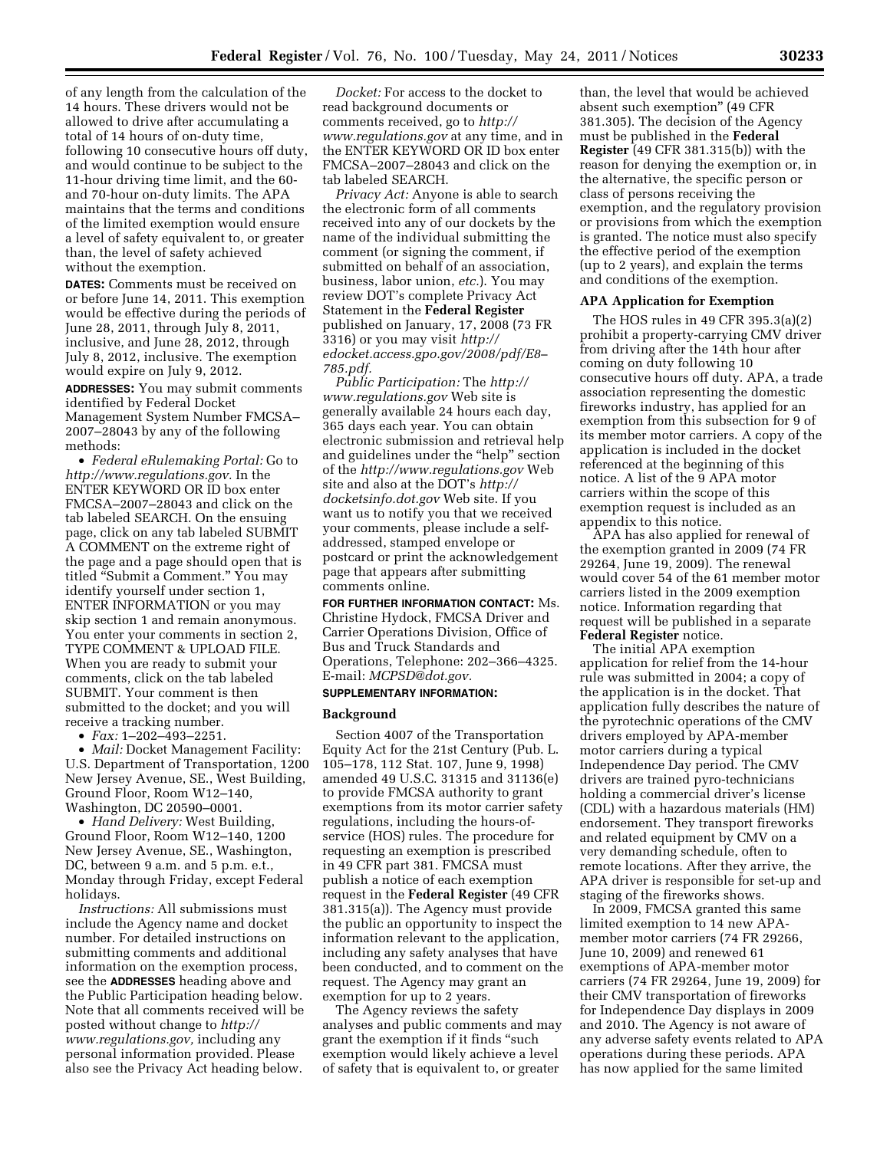of any length from the calculation of the 14 hours. These drivers would not be allowed to drive after accumulating a total of 14 hours of on-duty time, following 10 consecutive hours off duty, and would continue to be subject to the 11-hour driving time limit, and the 60 and 70-hour on-duty limits. The APA maintains that the terms and conditions of the limited exemption would ensure a level of safety equivalent to, or greater than, the level of safety achieved without the exemption.

**DATES:** Comments must be received on or before June 14, 2011. This exemption would be effective during the periods of June 28, 2011, through July 8, 2011, inclusive, and June 28, 2012, through July 8, 2012, inclusive. The exemption would expire on July 9, 2012.

**ADDRESSES:** You may submit comments identified by Federal Docket Management System Number FMCSA– 2007–28043 by any of the following methods:

• *Federal eRulemaking Portal:* Go to *[http://www.regulations.gov.](http://www.regulations.gov)* In the ENTER KEYWORD OR ID box enter FMCSA–2007–28043 and click on the tab labeled SEARCH. On the ensuing page, click on any tab labeled SUBMIT A COMMENT on the extreme right of the page and a page should open that is titled "Submit a Comment." You may identify yourself under section 1, ENTER INFORMATION or you may skip section 1 and remain anonymous. You enter your comments in section 2, TYPE COMMENT & UPLOAD FILE. When you are ready to submit your comments, click on the tab labeled SUBMIT. Your comment is then submitted to the docket; and you will receive a tracking number.

• *Fax:* 1–202–493–2251.

• *Mail:* Docket Management Facility: U.S. Department of Transportation, 1200 New Jersey Avenue, SE., West Building, Ground Floor, Room W12–140, Washington, DC 20590–0001.

• *Hand Delivery:* West Building, Ground Floor, Room W12–140, 1200 New Jersey Avenue, SE., Washington, DC, between 9 a.m. and 5 p.m. e.t., Monday through Friday, except Federal holidays.

*Instructions:* All submissions must include the Agency name and docket number. For detailed instructions on submitting comments and additional information on the exemption process, see the **ADDRESSES** heading above and the Public Participation heading below. Note that all comments received will be posted without change to *[http://](http://www.regulations.gov) [www.regulations.gov,](http://www.regulations.gov)* including any personal information provided. Please also see the Privacy Act heading below.

*Docket:* For access to the docket to read background documents or comments received, go to *[http://](http://www.regulations.gov)  [www.regulations.gov](http://www.regulations.gov)* at any time, and in the ENTER KEYWORD OR ID box enter FMCSA–2007–28043 and click on the tab labeled SEARCH.

*Privacy Act:* Anyone is able to search the electronic form of all comments received into any of our dockets by the name of the individual submitting the comment (or signing the comment, if submitted on behalf of an association, business, labor union, *etc.*). You may review DOT's complete Privacy Act Statement in the **Federal Register**  published on January, 17, 2008 (73 FR 3316) or you may visit *[http://](http://edocket.access.gpo.gov/2008/pdf/E8-785.pdf) [edocket.access.gpo.gov/2008/pdf/E8–](http://edocket.access.gpo.gov/2008/pdf/E8-785.pdf)  [785.pdf.](http://edocket.access.gpo.gov/2008/pdf/E8-785.pdf)* 

*Public Participation:* The *[http://](http://www.regulations.gov)  [www.regulations.gov](http://www.regulations.gov)* Web site is generally available 24 hours each day, 365 days each year. You can obtain electronic submission and retrieval help and guidelines under the ''help'' section of the *<http://www.regulations.gov>* Web site and also at the DOT's *[http://](http://docketsinfo.dot.gov) [docketsinfo.dot.gov](http://docketsinfo.dot.gov)* Web site. If you want us to notify you that we received your comments, please include a selfaddressed, stamped envelope or postcard or print the acknowledgement page that appears after submitting comments online.

**FOR FURTHER INFORMATION CONTACT:** Ms. Christine Hydock, FMCSA Driver and Carrier Operations Division, Office of Bus and Truck Standards and Operations, Telephone: 202–366–4325. E-mail: *[MCPSD@dot.gov.](mailto:MCPSD@dot.gov)* 

# **SUPPLEMENTARY INFORMATION:**

#### **Background**

Section 4007 of the Transportation Equity Act for the 21st Century (Pub. L. 105–178, 112 Stat. 107, June 9, 1998) amended 49 U.S.C. 31315 and 31136(e) to provide FMCSA authority to grant exemptions from its motor carrier safety regulations, including the hours-ofservice (HOS) rules. The procedure for requesting an exemption is prescribed in 49 CFR part 381. FMCSA must publish a notice of each exemption request in the **Federal Register** (49 CFR 381.315(a)). The Agency must provide the public an opportunity to inspect the information relevant to the application, including any safety analyses that have been conducted, and to comment on the request. The Agency may grant an exemption for up to 2 years.

The Agency reviews the safety analyses and public comments and may grant the exemption if it finds ''such exemption would likely achieve a level of safety that is equivalent to, or greater

than, the level that would be achieved absent such exemption'' (49 CFR 381.305). The decision of the Agency must be published in the **Federal Register** (49 CFR 381.315(b)) with the reason for denying the exemption or, in the alternative, the specific person or class of persons receiving the exemption, and the regulatory provision or provisions from which the exemption is granted. The notice must also specify the effective period of the exemption (up to 2 years), and explain the terms and conditions of the exemption.

### **APA Application for Exemption**

The HOS rules in 49 CFR 395.3(a)(2) prohibit a property-carrying CMV driver from driving after the 14th hour after coming on duty following 10 consecutive hours off duty. APA, a trade association representing the domestic fireworks industry, has applied for an exemption from this subsection for 9 of its member motor carriers. A copy of the application is included in the docket referenced at the beginning of this notice. A list of the 9 APA motor carriers within the scope of this exemption request is included as an appendix to this notice.

APA has also applied for renewal of the exemption granted in 2009 (74 FR 29264, June 19, 2009). The renewal would cover 54 of the 61 member motor carriers listed in the 2009 exemption notice. Information regarding that request will be published in a separate **Federal Register** notice.

The initial APA exemption application for relief from the 14-hour rule was submitted in 2004; a copy of the application is in the docket. That application fully describes the nature of the pyrotechnic operations of the CMV drivers employed by APA-member motor carriers during a typical Independence Day period. The CMV drivers are trained pyro-technicians holding a commercial driver's license (CDL) with a hazardous materials (HM) endorsement. They transport fireworks and related equipment by CMV on a very demanding schedule, often to remote locations. After they arrive, the APA driver is responsible for set-up and staging of the fireworks shows.

In 2009, FMCSA granted this same limited exemption to 14 new APAmember motor carriers (74 FR 29266, June 10, 2009) and renewed 61 exemptions of APA-member motor carriers (74 FR 29264, June 19, 2009) for their CMV transportation of fireworks for Independence Day displays in 2009 and 2010. The Agency is not aware of any adverse safety events related to APA operations during these periods. APA has now applied for the same limited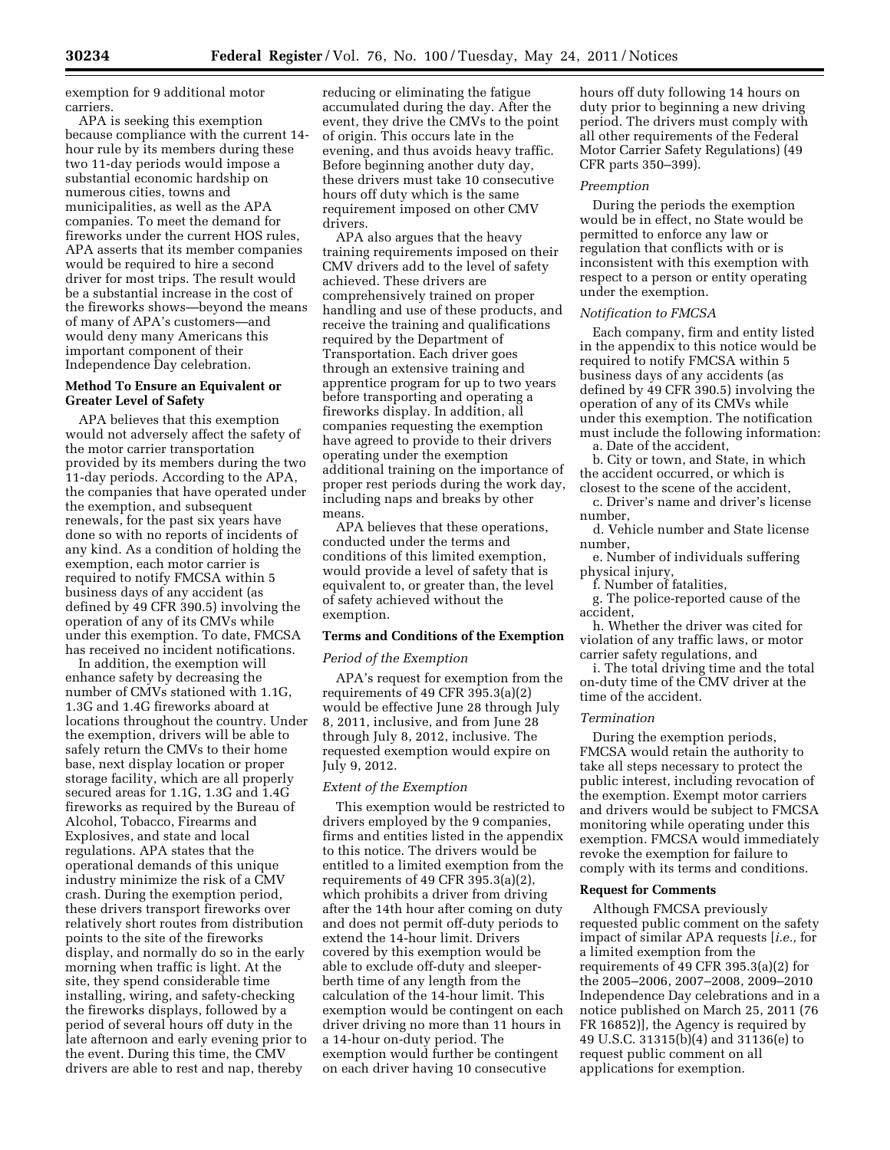exemption for 9 additional motor carriers.

APA is seeking this exemption because compliance with the current 14 hour rule by its members during these two 11-day periods would impose a substantial economic hardship on numerous cities, towns and municipalities, as well as the APA companies. To meet the demand for fireworks under the current HOS rules, APA asserts that its member companies would be required to hire a second driver for most trips. The result would be a substantial increase in the cost of the fireworks shows—beyond the means of many of APA's customers—and would deny many Americans this important component of their Independence Day celebration.

### **Method To Ensure an Equivalent or Greater Level of Safety**

APA believes that this exemption would not adversely affect the safety of the motor carrier transportation provided by its members during the two 11-day periods. According to the APA, the companies that have operated under the exemption, and subsequent renewals, for the past six years have done so with no reports of incidents of any kind. As a condition of holding the exemption, each motor carrier is required to notify FMCSA within 5 business days of any accident (as defined by 49 CFR 390.5) involving the operation of any of its CMVs while under this exemption. To date, FMCSA has received no incident notifications.

In addition, the exemption will enhance safety by decreasing the number of CMVs stationed with 1.1G, 1.3G and 1.4G fireworks aboard at locations throughout the country. Under the exemption, drivers will be able to safely return the CMVs to their home base, next display location or proper storage facility, which are all properly secured areas for 1.1G, 1.3G and 1.4G fireworks as required by the Bureau of Alcohol, Tobacco, Firearms and Explosives, and state and local regulations. APA states that the operational demands of this unique industry minimize the risk of a CMV crash. During the exemption period, these drivers transport fireworks over relatively short routes from distribution points to the site of the fireworks display, and normally do so in the early morning when traffic is light. At the site, they spend considerable time installing, wiring, and safety-checking the fireworks displays, followed by a period of several hours off duty in the late afternoon and early evening prior to the event. During this time, the CMV drivers are able to rest and nap, thereby

reducing or eliminating the fatigue accumulated during the day. After the event, they drive the CMVs to the point of origin. This occurs late in the evening, and thus avoids heavy traffic. Before beginning another duty day, these drivers must take 10 consecutive hours off duty which is the same requirement imposed on other CMV drivers.

APA also argues that the heavy training requirements imposed on their CMV drivers add to the level of safety achieved. These drivers are comprehensively trained on proper handling and use of these products, and receive the training and qualifications required by the Department of Transportation. Each driver goes through an extensive training and apprentice program for up to two years before transporting and operating a fireworks display. In addition, all companies requesting the exemption have agreed to provide to their drivers operating under the exemption additional training on the importance of proper rest periods during the work day, including naps and breaks by other means.

APA believes that these operations, conducted under the terms and conditions of this limited exemption, would provide a level of safety that is equivalent to, or greater than, the level of safety achieved without the exemption.

### **Terms and Conditions of the Exemption**

#### *Period of the Exemption*

APA's request for exemption from the requirements of 49 CFR 395.3(a)(2) would be effective June 28 through July 8, 2011, inclusive, and from June 28 through July 8, 2012, inclusive. The requested exemption would expire on July 9, 2012.

# *Extent of the Exemption*

This exemption would be restricted to drivers employed by the 9 companies, firms and entities listed in the appendix to this notice. The drivers would be entitled to a limited exemption from the requirements of 49 CFR 395.3(a)(2), which prohibits a driver from driving after the 14th hour after coming on duty and does not permit off-duty periods to extend the 14-hour limit. Drivers covered by this exemption would be able to exclude off-duty and sleeperberth time of any length from the calculation of the 14-hour limit. This exemption would be contingent on each driver driving no more than 11 hours in a 14-hour on-duty period. The exemption would further be contingent on each driver having 10 consecutive

hours off duty following 14 hours on duty prior to beginning a new driving period. The drivers must comply with all other requirements of the Federal Motor Carrier Safety Regulations) (49 CFR parts 350–399).

#### *Preemption*

During the periods the exemption would be in effect, no State would be permitted to enforce any law or regulation that conflicts with or is inconsistent with this exemption with respect to a person or entity operating under the exemption.

### *Notification to FMCSA*

Each company, firm and entity listed in the appendix to this notice would be required to notify FMCSA within 5 business days of any accidents (as defined by 49 CFR 390.5) involving the operation of any of its CMVs while under this exemption. The notification must include the following information: a. Date of the accident,

b. City or town, and State, in which the accident occurred, or which is closest to the scene of the accident,

c. Driver's name and driver's license number,

d. Vehicle number and State license number,

e. Number of individuals suffering physical injury,

f. Number of fatalities,

g. The police-reported cause of the accident,

h. Whether the driver was cited for violation of any traffic laws, or motor carrier safety regulations, and

i. The total driving time and the total on-duty time of the CMV driver at the time of the accident.

### *Termination*

During the exemption periods, FMCSA would retain the authority to take all steps necessary to protect the public interest, including revocation of the exemption. Exempt motor carriers and drivers would be subject to FMCSA monitoring while operating under this exemption. FMCSA would immediately revoke the exemption for failure to comply with its terms and conditions.

#### **Request for Comments**

Although FMCSA previously requested public comment on the safety impact of similar APA requests [*i.e.,* for a limited exemption from the requirements of 49 CFR 395.3(a)(2) for the 2005–2006, 2007–2008, 2009–2010 Independence Day celebrations and in a notice published on March 25, 2011 (76 FR 16852)], the Agency is required by 49 U.S.C. 31315(b)(4) and 31136(e) to request public comment on all applications for exemption.